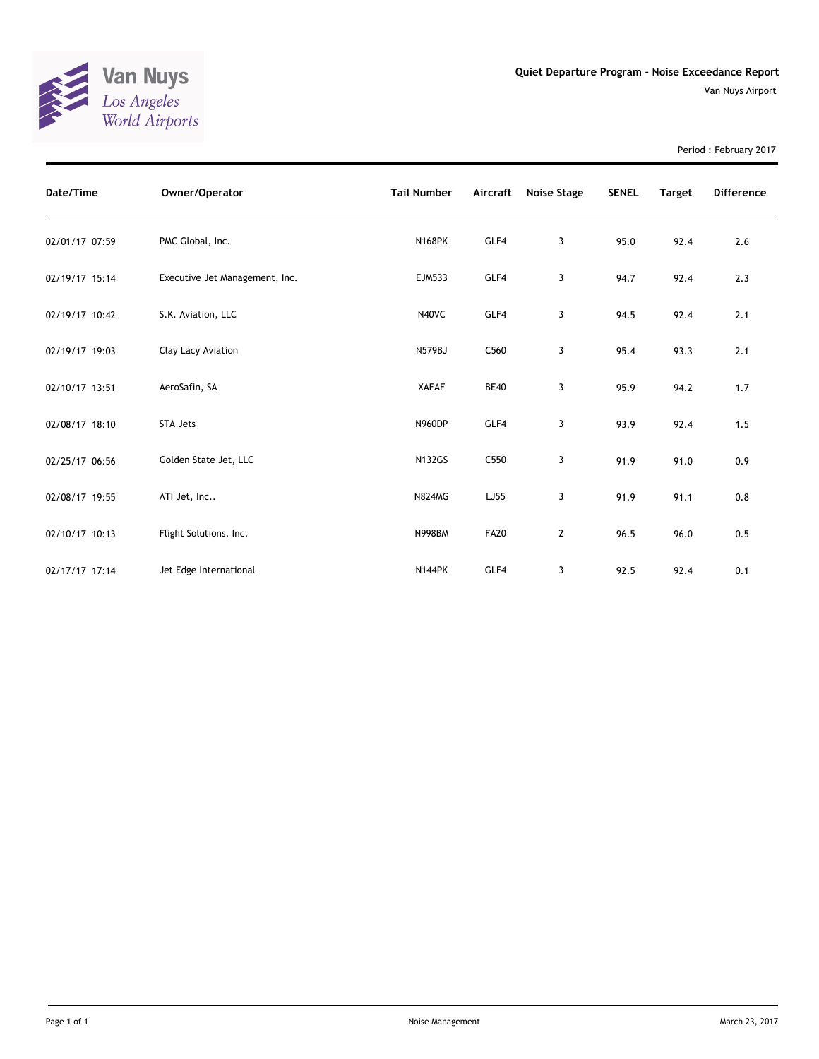

Period : February 2017

| Date/Time      | Owner/Operator                 | <b>Tail Number</b> | Aircraft    | Noise Stage  | <b>SENEL</b> | <b>Target</b> | <b>Difference</b> |
|----------------|--------------------------------|--------------------|-------------|--------------|--------------|---------------|-------------------|
| 02/01/17 07:59 | PMC Global, Inc.               | <b>N168PK</b>      | GLF4        | 3            | 95.0         | 92.4          | 2.6               |
| 02/19/17 15:14 | Executive Jet Management, Inc. | <b>EJM533</b>      | GLF4        | 3            | 94.7         | 92.4          | 2.3               |
| 02/19/17 10:42 | S.K. Aviation, LLC             | N40VC              | GLF4        | 3            | 94.5         | 92.4          | 2.1               |
| 02/19/17 19:03 | Clay Lacy Aviation             | N579BJ             | C560        | 3            | 95.4         | 93.3          | 2.1               |
| 02/10/17 13:51 | AeroSafin, SA                  | <b>XAFAF</b>       | <b>BE40</b> | 3            | 95.9         | 94.2          | 1.7               |
| 02/08/17 18:10 | STA Jets                       | <b>N960DP</b>      | GLF4        | 3            | 93.9         | 92.4          | 1.5               |
| 02/25/17 06:56 | Golden State Jet, LLC          | <b>N132GS</b>      | C550        | 3            | 91.9         | 91.0          | 0.9               |
| 02/08/17 19:55 | ATI Jet, Inc                   | <b>N824MG</b>      | LJ55        | 3            | 91.9         | 91.1          | 0.8               |
| 02/10/17 10:13 | Flight Solutions, Inc.         | <b>N998BM</b>      | <b>FA20</b> | $\mathbf{2}$ | 96.5         | 96.0          | 0.5               |
| 02/17/17 17:14 | Jet Edge International         | <b>N144PK</b>      | GLF4        | 3            | 92.5         | 92.4          | 0.1               |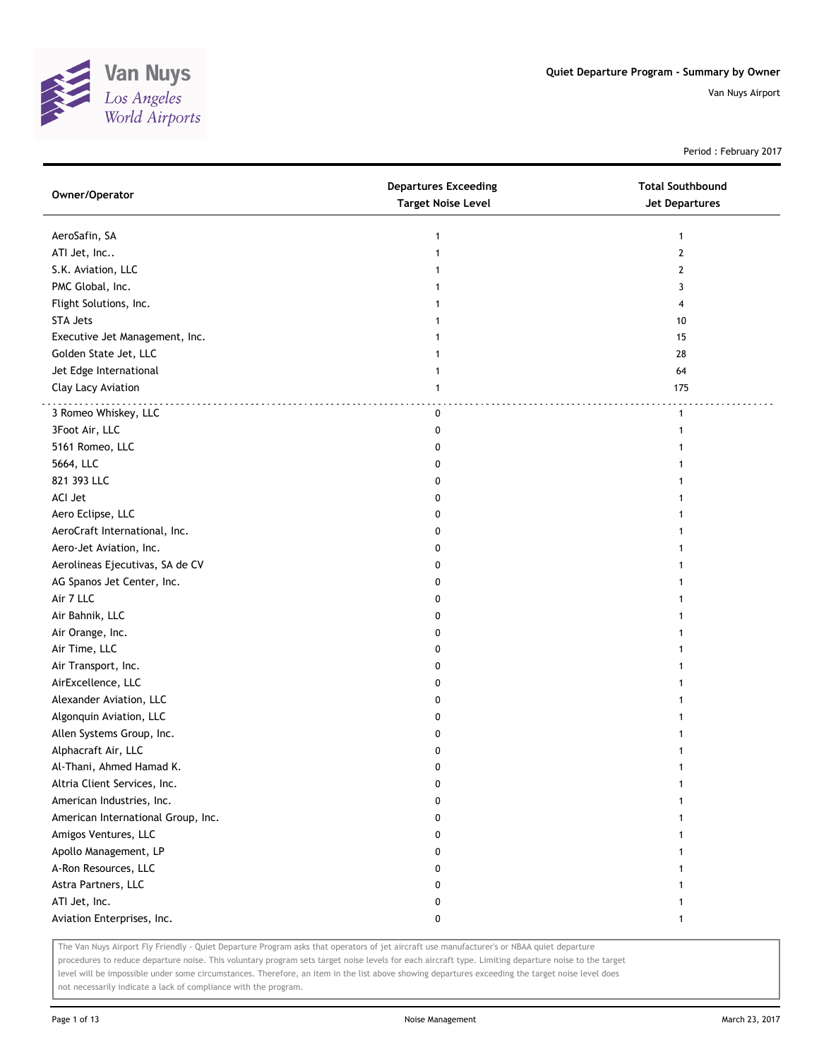

Period : February 2017

| Owner/Operator                     | <b>Departures Exceeding</b><br><b>Target Noise Level</b> | <b>Total Southbound</b><br><b>Jet Departures</b> |
|------------------------------------|----------------------------------------------------------|--------------------------------------------------|
| AeroSafin, SA                      | 1                                                        | 1                                                |
| ATI Jet, Inc                       | $\mathbf{1}$                                             | $\overline{2}$                                   |
| S.K. Aviation, LLC                 |                                                          | 2                                                |
| PMC Global, Inc.                   |                                                          | 3                                                |
| Flight Solutions, Inc.             |                                                          | 4                                                |
| STA Jets                           |                                                          | 10                                               |
| Executive Jet Management, Inc.     |                                                          | 15                                               |
| Golden State Jet, LLC              |                                                          | 28                                               |
| Jet Edge International             | 1                                                        | 64                                               |
| Clay Lacy Aviation                 | 1                                                        | 175                                              |
| 3 Romeo Whiskey, LLC               | 0                                                        | $\mathbf{1}$                                     |
| 3Foot Air, LLC                     | 0                                                        | 1                                                |
| 5161 Romeo, LLC                    | 0                                                        |                                                  |
| 5664, LLC                          | 0                                                        |                                                  |
| 821 393 LLC                        | 0                                                        |                                                  |
| ACI Jet                            | 0                                                        |                                                  |
| Aero Eclipse, LLC                  | 0                                                        |                                                  |
| AeroCraft International, Inc.      | 0                                                        |                                                  |
| Aero-Jet Aviation, Inc.            | 0                                                        |                                                  |
| Aerolineas Ejecutivas, SA de CV    | 0                                                        |                                                  |
| AG Spanos Jet Center, Inc.         | 0                                                        |                                                  |
| Air 7 LLC                          | 0                                                        |                                                  |
| Air Bahnik, LLC                    | 0                                                        |                                                  |
| Air Orange, Inc.                   | 0                                                        |                                                  |
| Air Time, LLC                      | 0                                                        |                                                  |
| Air Transport, Inc.                | 0                                                        |                                                  |
| AirExcellence, LLC                 | 0                                                        |                                                  |
| Alexander Aviation, LLC            | 0                                                        |                                                  |
| Algonquin Aviation, LLC            | 0                                                        |                                                  |
| Allen Systems Group, Inc.          | 0                                                        |                                                  |
| Alphacraft Air, LLC                | 0                                                        |                                                  |
| Al-Thani, Ahmed Hamad K.           | 0                                                        | 1                                                |
| Altria Client Services, Inc.       | 0                                                        | 1                                                |
| American Industries, Inc.          | 0                                                        |                                                  |
| American International Group, Inc. | 0                                                        |                                                  |
| Amigos Ventures, LLC               | 0                                                        |                                                  |
| Apollo Management, LP              | 0                                                        |                                                  |
| A-Ron Resources, LLC               | 0                                                        |                                                  |
| Astra Partners, LLC                | 0                                                        |                                                  |
| ATI Jet, Inc.                      | 0                                                        | 1                                                |
| Aviation Enterprises, Inc.         | 0                                                        | 1                                                |

The Van Nuys Airport Fly Friendly - Quiet Departure Program asks that operators of jet aircraft use manufacturer's or NBAA quiet departure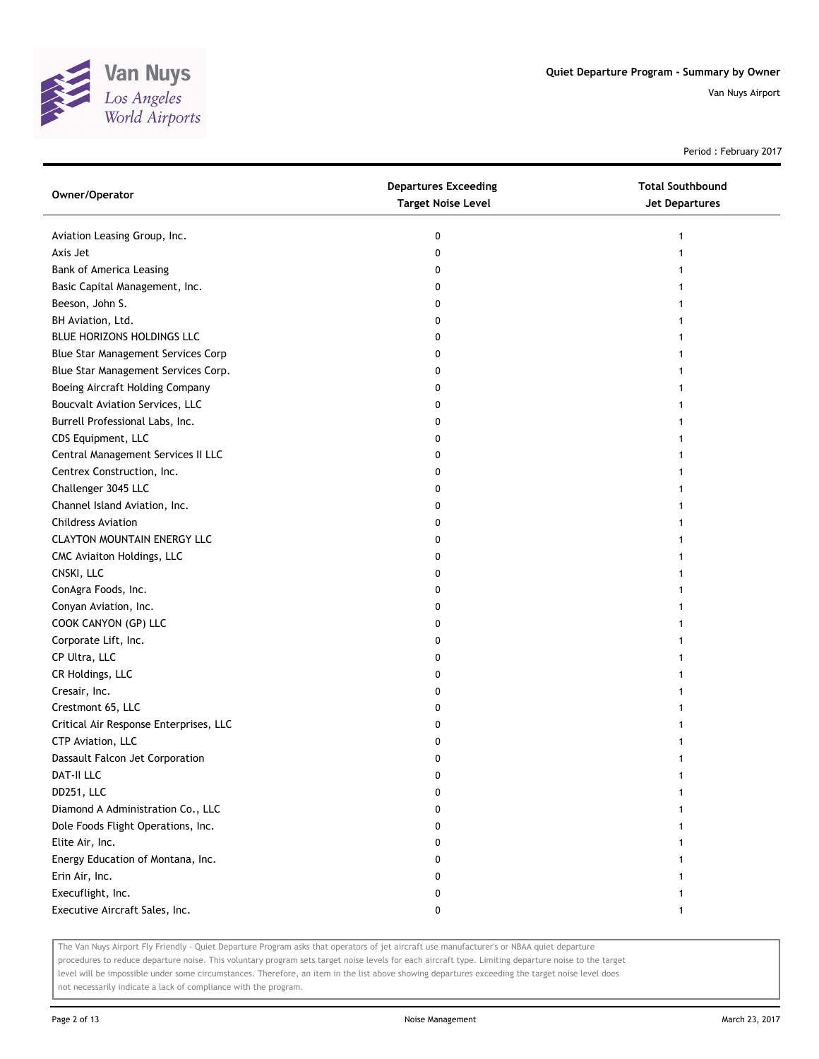

Period : February 2017

| Owner/Operator                         | <b>Departures Exceeding</b><br><b>Target Noise Level</b> | <b>Total Southbound</b><br><b>Jet Departures</b> |
|----------------------------------------|----------------------------------------------------------|--------------------------------------------------|
| Aviation Leasing Group, Inc.           | 0                                                        | $\mathbf{1}$                                     |
| Axis Jet                               | 0                                                        |                                                  |
| Bank of America Leasing                | 0                                                        |                                                  |
| Basic Capital Management, Inc.         | 0                                                        |                                                  |
| Beeson, John S.                        | 0                                                        |                                                  |
| BH Aviation, Ltd.                      | 0                                                        |                                                  |
| BLUE HORIZONS HOLDINGS LLC             | 0                                                        |                                                  |
| Blue Star Management Services Corp     | 0                                                        | 1                                                |
| Blue Star Management Services Corp.    | 0                                                        | 1                                                |
| Boeing Aircraft Holding Company        | 0                                                        |                                                  |
| Boucvalt Aviation Services, LLC        | 0                                                        |                                                  |
| Burrell Professional Labs, Inc.        | 0                                                        |                                                  |
| CDS Equipment, LLC                     | 0                                                        |                                                  |
| Central Management Services II LLC     | 0                                                        |                                                  |
| Centrex Construction, Inc.             | 0                                                        |                                                  |
| Challenger 3045 LLC                    | 0                                                        |                                                  |
| Channel Island Aviation, Inc.          | 0                                                        |                                                  |
| <b>Childress Aviation</b>              | 0                                                        | 1                                                |
| <b>CLAYTON MOUNTAIN ENERGY LLC</b>     | 0                                                        |                                                  |
| CMC Aviaiton Holdings, LLC             | 0                                                        |                                                  |
| CNSKI, LLC                             | 0                                                        |                                                  |
| ConAgra Foods, Inc.                    | 0                                                        |                                                  |
| Conyan Aviation, Inc.                  | 0                                                        |                                                  |
| COOK CANYON (GP) LLC                   | 0                                                        |                                                  |
| Corporate Lift, Inc.                   | 0                                                        |                                                  |
| CP Ultra, LLC                          | 0                                                        |                                                  |
| CR Holdings, LLC                       | 0                                                        |                                                  |
| Cresair, Inc.                          | 0                                                        |                                                  |
| Crestmont 65, LLC                      | 0                                                        |                                                  |
| Critical Air Response Enterprises, LLC | 0                                                        |                                                  |
| CTP Aviation, LLC                      | 0                                                        |                                                  |
| Dassault Falcon Jet Corporation        | 0                                                        |                                                  |
| DAT-II LLC                             | U                                                        |                                                  |
| DD251, LLC                             | 0                                                        |                                                  |
| Diamond A Administration Co., LLC      | 0                                                        |                                                  |
| Dole Foods Flight Operations, Inc.     | 0                                                        |                                                  |
| Elite Air, Inc.                        | 0                                                        |                                                  |
| Energy Education of Montana, Inc.      | 0                                                        |                                                  |
| Erin Air, Inc.                         | 0                                                        |                                                  |
| Execuflight, Inc.                      | 0                                                        |                                                  |
| Executive Aircraft Sales, Inc.         | 0                                                        | 1                                                |

The Van Nuys Airport Fly Friendly - Quiet Departure Program asks that operators of jet aircraft use manufacturer's or NBAA quiet departure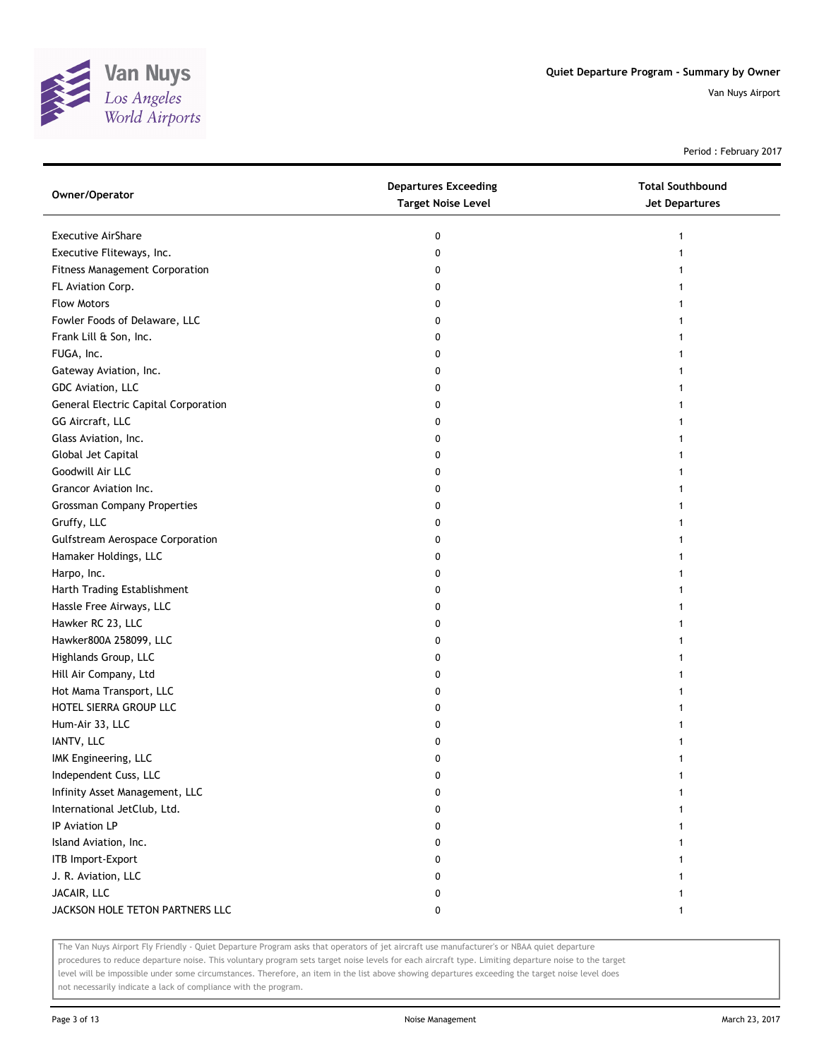

Period : February 2017

| Owner/Operator                              | <b>Departures Exceeding</b><br><b>Target Noise Level</b> | <b>Total Southbound</b><br><b>Jet Departures</b> |
|---------------------------------------------|----------------------------------------------------------|--------------------------------------------------|
| <b>Executive AirShare</b>                   | 0                                                        | 1                                                |
| Executive Fliteways, Inc.                   | 0                                                        |                                                  |
| <b>Fitness Management Corporation</b>       | 0                                                        |                                                  |
| FL Aviation Corp.                           | 0                                                        |                                                  |
| <b>Flow Motors</b>                          |                                                          |                                                  |
| Fowler Foods of Delaware, LLC               | 0<br>0                                                   |                                                  |
| Frank Lill & Son, Inc.                      |                                                          |                                                  |
|                                             | 0                                                        |                                                  |
| FUGA, Inc.                                  | 0                                                        |                                                  |
| Gateway Aviation, Inc.                      | 0                                                        |                                                  |
| GDC Aviation, LLC                           | 0                                                        |                                                  |
| <b>General Electric Capital Corporation</b> | 0                                                        |                                                  |
| GG Aircraft, LLC                            | 0                                                        |                                                  |
| Glass Aviation, Inc.                        | 0                                                        |                                                  |
| Global Jet Capital                          | 0                                                        |                                                  |
| Goodwill Air LLC                            | 0                                                        |                                                  |
| Grancor Aviation Inc.                       | 0                                                        |                                                  |
| <b>Grossman Company Properties</b>          | 0                                                        |                                                  |
| Gruffy, LLC                                 | 0                                                        |                                                  |
| <b>Gulfstream Aerospace Corporation</b>     | 0                                                        |                                                  |
| Hamaker Holdings, LLC                       | 0                                                        |                                                  |
| Harpo, Inc.                                 | 0                                                        |                                                  |
| Harth Trading Establishment                 | 0                                                        |                                                  |
| Hassle Free Airways, LLC                    | 0                                                        |                                                  |
| Hawker RC 23, LLC                           | 0                                                        |                                                  |
| Hawker800A 258099, LLC                      | 0                                                        |                                                  |
| Highlands Group, LLC                        | 0                                                        |                                                  |
| Hill Air Company, Ltd                       | 0                                                        |                                                  |
| Hot Mama Transport, LLC                     | 0                                                        |                                                  |
| HOTEL SIERRA GROUP LLC                      | 0                                                        |                                                  |
| Hum-Air 33, LLC                             | 0                                                        |                                                  |
| IANTV, LLC                                  | 0                                                        |                                                  |
| IMK Engineering, LLC                        | 0                                                        |                                                  |
| Independent Cuss, LLC                       | U                                                        |                                                  |
| Infinity Asset Management, LLC              | 0                                                        |                                                  |
| International JetClub, Ltd.                 | 0                                                        |                                                  |
| IP Aviation LP                              | 0                                                        |                                                  |
| Island Aviation, Inc.                       | 0                                                        |                                                  |
| ITB Import-Export                           | 0                                                        |                                                  |
| J. R. Aviation, LLC                         | 0                                                        |                                                  |
| JACAIR, LLC                                 | 0                                                        |                                                  |
| JACKSON HOLE TETON PARTNERS LLC             | 0                                                        | 1                                                |

The Van Nuys Airport Fly Friendly - Quiet Departure Program asks that operators of jet aircraft use manufacturer's or NBAA quiet departure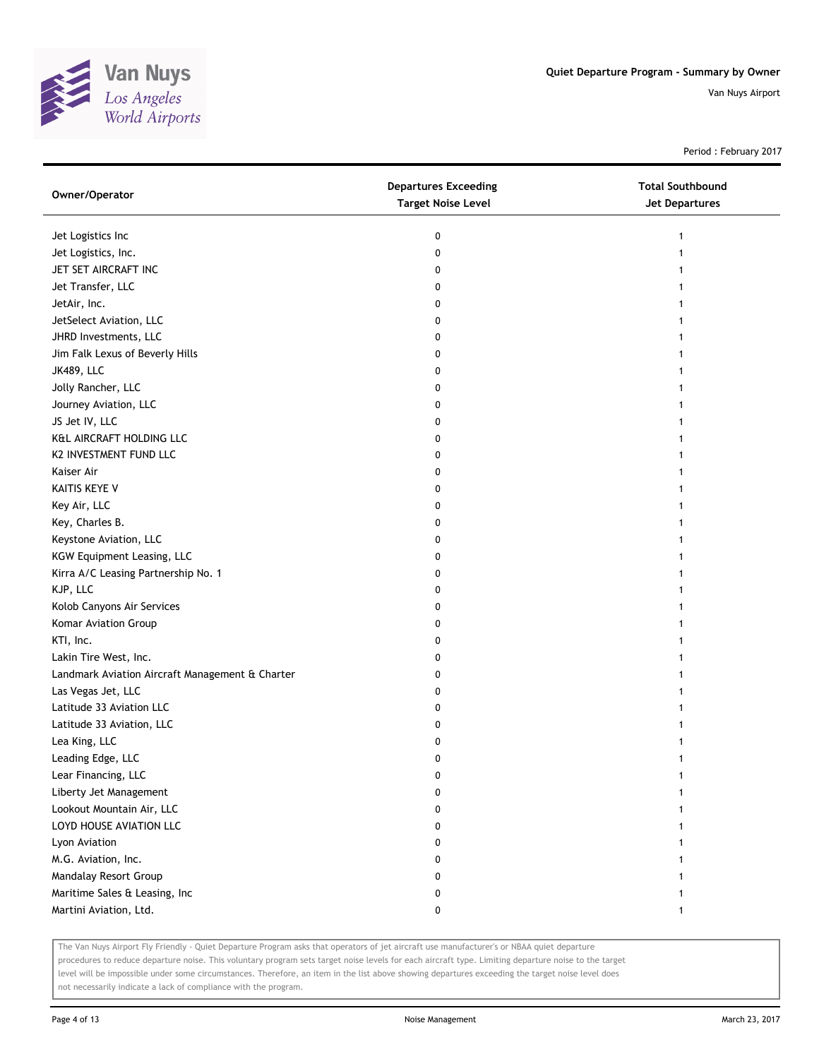

Period : February 2017

| Owner/Operator                                  | <b>Departures Exceeding</b><br><b>Target Noise Level</b> | <b>Total Southbound</b><br>Jet Departures |
|-------------------------------------------------|----------------------------------------------------------|-------------------------------------------|
| Jet Logistics Inc                               | 0                                                        |                                           |
| Jet Logistics, Inc.                             | 0                                                        |                                           |
| JET SET AIRCRAFT INC                            | 0                                                        |                                           |
| Jet Transfer, LLC                               | 0                                                        |                                           |
| JetAir, Inc.                                    | 0                                                        |                                           |
| JetSelect Aviation, LLC                         | 0                                                        |                                           |
| JHRD Investments, LLC                           | 0                                                        |                                           |
| Jim Falk Lexus of Beverly Hills                 | 0                                                        |                                           |
| <b>JK489, LLC</b>                               | 0                                                        |                                           |
| Jolly Rancher, LLC                              | 0                                                        |                                           |
| Journey Aviation, LLC                           | 0                                                        |                                           |
| JS Jet IV, LLC                                  | 0                                                        |                                           |
| K&L AIRCRAFT HOLDING LLC                        | 0                                                        |                                           |
| K2 INVESTMENT FUND LLC                          | 0                                                        |                                           |
| Kaiser Air                                      | 0                                                        |                                           |
| KAITIS KEYE V                                   | 0                                                        |                                           |
| Key Air, LLC                                    | 0                                                        |                                           |
| Key, Charles B.                                 | 0                                                        |                                           |
| Keystone Aviation, LLC                          | 0                                                        |                                           |
| KGW Equipment Leasing, LLC                      | 0                                                        |                                           |
| Kirra A/C Leasing Partnership No. 1             | 0                                                        |                                           |
| KJP, LLC                                        | 0                                                        |                                           |
| Kolob Canyons Air Services                      | 0                                                        |                                           |
| Komar Aviation Group                            | 0                                                        |                                           |
| KTI, Inc.                                       | 0                                                        |                                           |
| Lakin Tire West, Inc.                           | 0                                                        |                                           |
| Landmark Aviation Aircraft Management & Charter | 0                                                        |                                           |
| Las Vegas Jet, LLC                              | 0                                                        |                                           |
| Latitude 33 Aviation LLC                        | 0                                                        |                                           |
| Latitude 33 Aviation, LLC                       | 0                                                        |                                           |
| Lea King, LLC                                   | 0                                                        |                                           |
| Leading Edge, LLC                               | 0                                                        |                                           |
| Lear Financing, LLC                             | 0                                                        |                                           |
| Liberty Jet Management                          | 0                                                        |                                           |
| Lookout Mountain Air, LLC                       | 0                                                        |                                           |
| LOYD HOUSE AVIATION LLC                         | 0                                                        |                                           |
| Lyon Aviation                                   | 0                                                        |                                           |
| M.G. Aviation, Inc.                             | 0                                                        |                                           |
| Mandalay Resort Group                           | 0                                                        |                                           |
| Maritime Sales & Leasing, Inc                   | 0                                                        |                                           |
| Martini Aviation, Ltd.                          | 0                                                        |                                           |

The Van Nuys Airport Fly Friendly - Quiet Departure Program asks that operators of jet aircraft use manufacturer's or NBAA quiet departure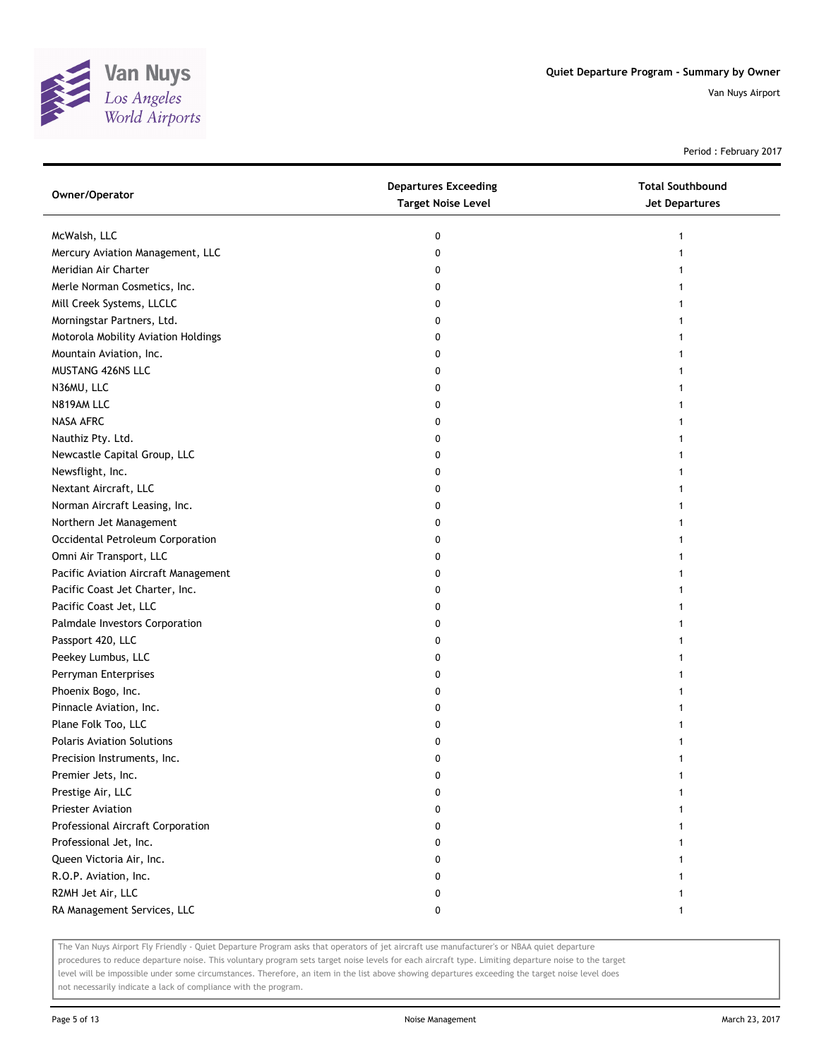

Period : February 2017

| Owner/Operator                       | <b>Departures Exceeding</b><br><b>Target Noise Level</b> | <b>Total Southbound</b><br><b>Jet Departures</b> |
|--------------------------------------|----------------------------------------------------------|--------------------------------------------------|
| McWalsh, LLC                         | 0                                                        |                                                  |
| Mercury Aviation Management, LLC     | 0                                                        |                                                  |
| Meridian Air Charter                 | 0                                                        |                                                  |
| Merle Norman Cosmetics, Inc.         | 0                                                        |                                                  |
| Mill Creek Systems, LLCLC            | 0                                                        |                                                  |
| Morningstar Partners, Ltd.           | 0                                                        |                                                  |
| Motorola Mobility Aviation Holdings  | 0                                                        |                                                  |
| Mountain Aviation, Inc.              | 0                                                        |                                                  |
| MUSTANG 426NS LLC                    | 0                                                        |                                                  |
| N36MU, LLC                           | 0                                                        |                                                  |
| N819AM LLC                           | 0                                                        |                                                  |
| NASA AFRC                            | 0                                                        |                                                  |
| Nauthiz Pty. Ltd.                    | 0                                                        |                                                  |
| Newcastle Capital Group, LLC         | 0                                                        |                                                  |
| Newsflight, Inc.                     | 0                                                        |                                                  |
| Nextant Aircraft, LLC                | 0                                                        |                                                  |
| Norman Aircraft Leasing, Inc.        | 0                                                        |                                                  |
| Northern Jet Management              | 0                                                        |                                                  |
| Occidental Petroleum Corporation     | 0                                                        |                                                  |
| Omni Air Transport, LLC              | 0                                                        |                                                  |
| Pacific Aviation Aircraft Management | 0                                                        |                                                  |
| Pacific Coast Jet Charter, Inc.      | 0                                                        |                                                  |
| Pacific Coast Jet, LLC               | 0                                                        |                                                  |
| Palmdale Investors Corporation       | 0                                                        |                                                  |
| Passport 420, LLC                    | 0                                                        |                                                  |
| Peekey Lumbus, LLC                   | 0                                                        |                                                  |
| Perryman Enterprises                 | 0                                                        |                                                  |
| Phoenix Bogo, Inc.                   | 0                                                        |                                                  |
| Pinnacle Aviation, Inc.              | 0                                                        |                                                  |
| Plane Folk Too, LLC                  | 0                                                        |                                                  |
| <b>Polaris Aviation Solutions</b>    | 0                                                        |                                                  |
| Precision Instruments, Inc.          | 0                                                        |                                                  |
| Premier Jets, Inc.                   | U                                                        |                                                  |
| Prestige Air, LLC                    | 0                                                        |                                                  |
| <b>Priester Aviation</b>             | 0                                                        |                                                  |
| Professional Aircraft Corporation    | 0                                                        |                                                  |
| Professional Jet, Inc.               | 0                                                        |                                                  |
| Queen Victoria Air, Inc.             | 0                                                        |                                                  |
| R.O.P. Aviation, Inc.                | 0                                                        |                                                  |
| R2MH Jet Air, LLC                    | 0                                                        |                                                  |
| RA Management Services, LLC          | 0                                                        |                                                  |

The Van Nuys Airport Fly Friendly - Quiet Departure Program asks that operators of jet aircraft use manufacturer's or NBAA quiet departure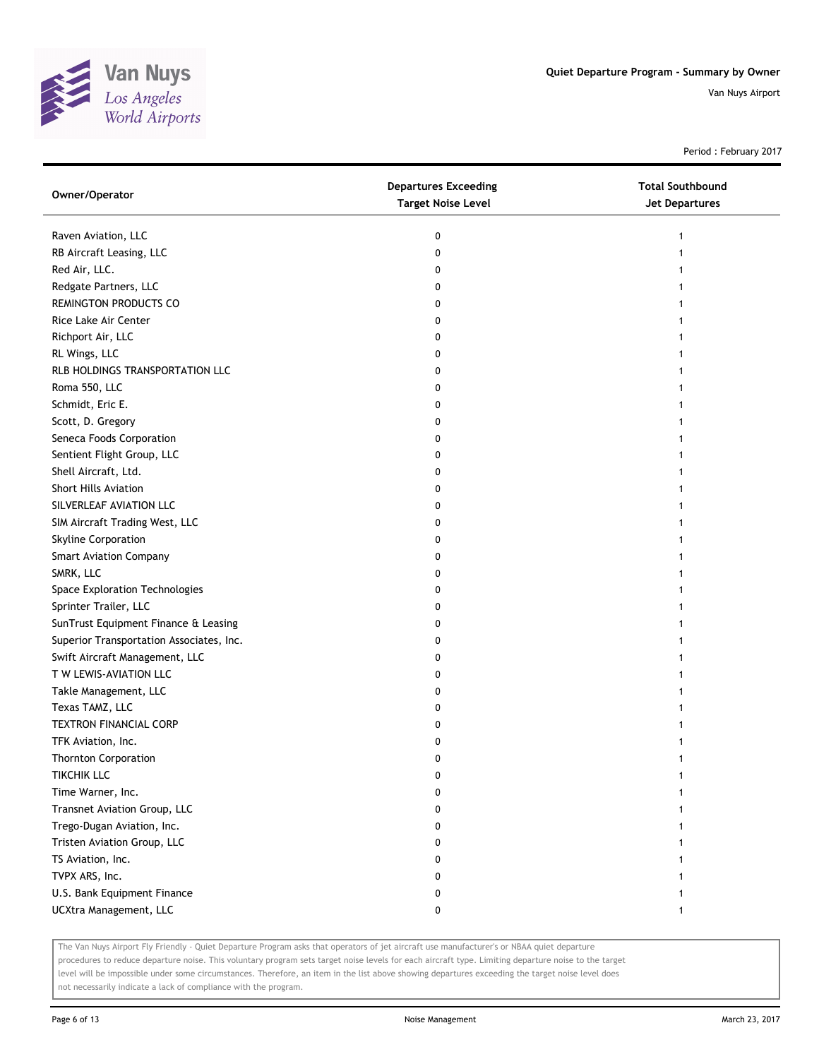

Period : February 2017

| Owner/Operator                           | <b>Departures Exceeding</b><br><b>Target Noise Level</b> | <b>Total Southbound</b><br><b>Jet Departures</b> |
|------------------------------------------|----------------------------------------------------------|--------------------------------------------------|
| Raven Aviation, LLC                      | 0                                                        |                                                  |
| RB Aircraft Leasing, LLC                 | 0                                                        |                                                  |
| Red Air, LLC.                            | 0                                                        |                                                  |
| Redgate Partners, LLC                    | 0                                                        |                                                  |
| REMINGTON PRODUCTS CO                    | 0                                                        |                                                  |
| Rice Lake Air Center                     | 0                                                        |                                                  |
| Richport Air, LLC                        | 0                                                        |                                                  |
| RL Wings, LLC                            | 0                                                        |                                                  |
| RLB HOLDINGS TRANSPORTATION LLC          | 0                                                        |                                                  |
| Roma 550, LLC                            | 0                                                        |                                                  |
| Schmidt, Eric E.                         | 0                                                        |                                                  |
| Scott, D. Gregory                        | 0                                                        |                                                  |
| Seneca Foods Corporation                 | 0                                                        |                                                  |
| Sentient Flight Group, LLC               | 0                                                        |                                                  |
| Shell Aircraft, Ltd.                     | 0                                                        |                                                  |
| Short Hills Aviation                     | 0                                                        |                                                  |
| SILVERLEAF AVIATION LLC                  | 0                                                        |                                                  |
| SIM Aircraft Trading West, LLC           | 0                                                        |                                                  |
| Skyline Corporation                      | 0                                                        |                                                  |
| <b>Smart Aviation Company</b>            | 0                                                        |                                                  |
| SMRK, LLC                                | 0                                                        |                                                  |
| Space Exploration Technologies           | 0                                                        |                                                  |
| Sprinter Trailer, LLC                    | 0                                                        |                                                  |
| SunTrust Equipment Finance & Leasing     | 0                                                        |                                                  |
| Superior Transportation Associates, Inc. | 0                                                        |                                                  |
| Swift Aircraft Management, LLC           | 0                                                        |                                                  |
| T W LEWIS-AVIATION LLC                   | 0                                                        |                                                  |
| Takle Management, LLC                    | 0                                                        |                                                  |
| Texas TAMZ, LLC                          | 0                                                        |                                                  |
| <b>TEXTRON FINANCIAL CORP</b>            | 0                                                        |                                                  |
| TFK Aviation, Inc.                       | 0                                                        |                                                  |
| <b>Thornton Corporation</b>              | 0                                                        |                                                  |
| <b>TIKCHIK LLC</b>                       | 0                                                        |                                                  |
| Time Warner, Inc.                        | 0                                                        |                                                  |
| Transnet Aviation Group, LLC             | 0                                                        |                                                  |
| Trego-Dugan Aviation, Inc.               | 0                                                        |                                                  |
| Tristen Aviation Group, LLC              | 0                                                        |                                                  |
| TS Aviation, Inc.                        | 0                                                        |                                                  |
| TVPX ARS, Inc.                           | 0                                                        |                                                  |
| U.S. Bank Equipment Finance              | 0                                                        |                                                  |
| UCXtra Management, LLC                   | 0                                                        | 1                                                |

The Van Nuys Airport Fly Friendly - Quiet Departure Program asks that operators of jet aircraft use manufacturer's or NBAA quiet departure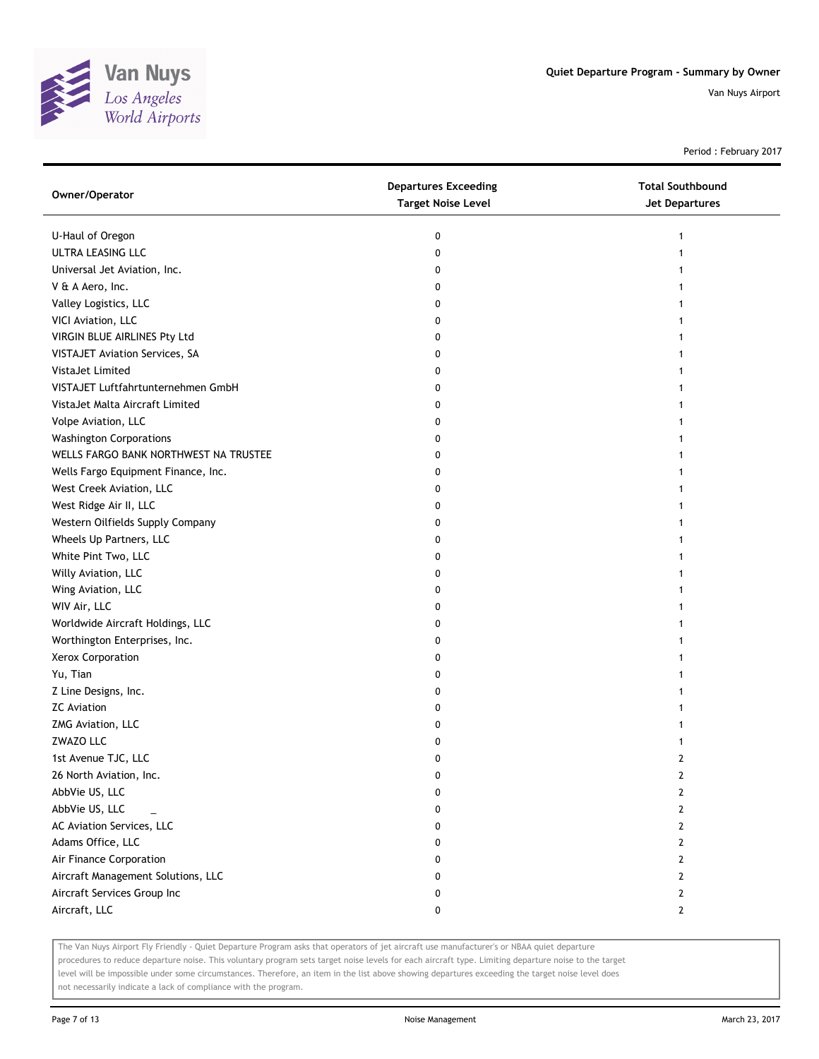

Period : February 2017

| Owner/Operator                        | <b>Departures Exceeding</b><br><b>Target Noise Level</b> | <b>Total Southbound</b><br><b>Jet Departures</b> |
|---------------------------------------|----------------------------------------------------------|--------------------------------------------------|
| U-Haul of Oregon                      | 0                                                        | $\mathbf{1}$                                     |
| ULTRA LEASING LLC                     | 0                                                        |                                                  |
| Universal Jet Aviation, Inc.          | 0                                                        |                                                  |
| V & A Aero, Inc.                      | 0                                                        |                                                  |
| Valley Logistics, LLC                 | 0                                                        |                                                  |
| VICI Aviation, LLC                    | 0                                                        |                                                  |
| VIRGIN BLUE AIRLINES Pty Ltd          | 0                                                        |                                                  |
| VISTAJET Aviation Services, SA        | 0                                                        | 1                                                |
| VistaJet Limited                      | 0                                                        | 1                                                |
| VISTAJET Luftfahrtunternehmen GmbH    | 0                                                        | 1                                                |
| VistaJet Malta Aircraft Limited       | 0                                                        |                                                  |
| Volpe Aviation, LLC                   | 0                                                        |                                                  |
| <b>Washington Corporations</b>        | 0                                                        |                                                  |
| WELLS FARGO BANK NORTHWEST NA TRUSTEE | 0                                                        |                                                  |
| Wells Fargo Equipment Finance, Inc.   | 0                                                        |                                                  |
| West Creek Aviation, LLC              | 0                                                        |                                                  |
| West Ridge Air II, LLC                | 0                                                        |                                                  |
| Western Oilfields Supply Company      | 0                                                        | 1                                                |
| Wheels Up Partners, LLC               | 0                                                        | 1                                                |
| White Pint Two, LLC                   | 0                                                        |                                                  |
| Willy Aviation, LLC                   | 0                                                        |                                                  |
| Wing Aviation, LLC                    | 0                                                        |                                                  |
| WIV Air, LLC                          | 0                                                        |                                                  |
| Worldwide Aircraft Holdings, LLC      | 0                                                        |                                                  |
| Worthington Enterprises, Inc.         | 0                                                        |                                                  |
| Xerox Corporation                     | 0                                                        |                                                  |
| Yu, Tian                              | 0                                                        |                                                  |
| Z Line Designs, Inc.                  | 0                                                        | 1                                                |
| <b>ZC</b> Aviation                    | 0                                                        |                                                  |
| ZMG Aviation, LLC                     | 0                                                        |                                                  |
| ZWAZO LLC                             | 0                                                        |                                                  |
| 1st Avenue TJC, LLC                   | 0                                                        | 2                                                |
| 26 North Aviation, Inc.               | U                                                        | $\mathbf{r}$                                     |
| AbbVie US, LLC                        | 0                                                        | 2                                                |
| AbbVie US, LLC                        | 0                                                        | 2                                                |
| AC Aviation Services, LLC             | 0                                                        | 2                                                |
| Adams Office, LLC                     | 0                                                        | 2                                                |
| Air Finance Corporation               | 0                                                        | 2                                                |
| Aircraft Management Solutions, LLC    | 0                                                        | 2                                                |
| Aircraft Services Group Inc           | 0                                                        | 2                                                |
| Aircraft, LLC                         | 0                                                        | $\mathbf{2}$                                     |

The Van Nuys Airport Fly Friendly - Quiet Departure Program asks that operators of jet aircraft use manufacturer's or NBAA quiet departure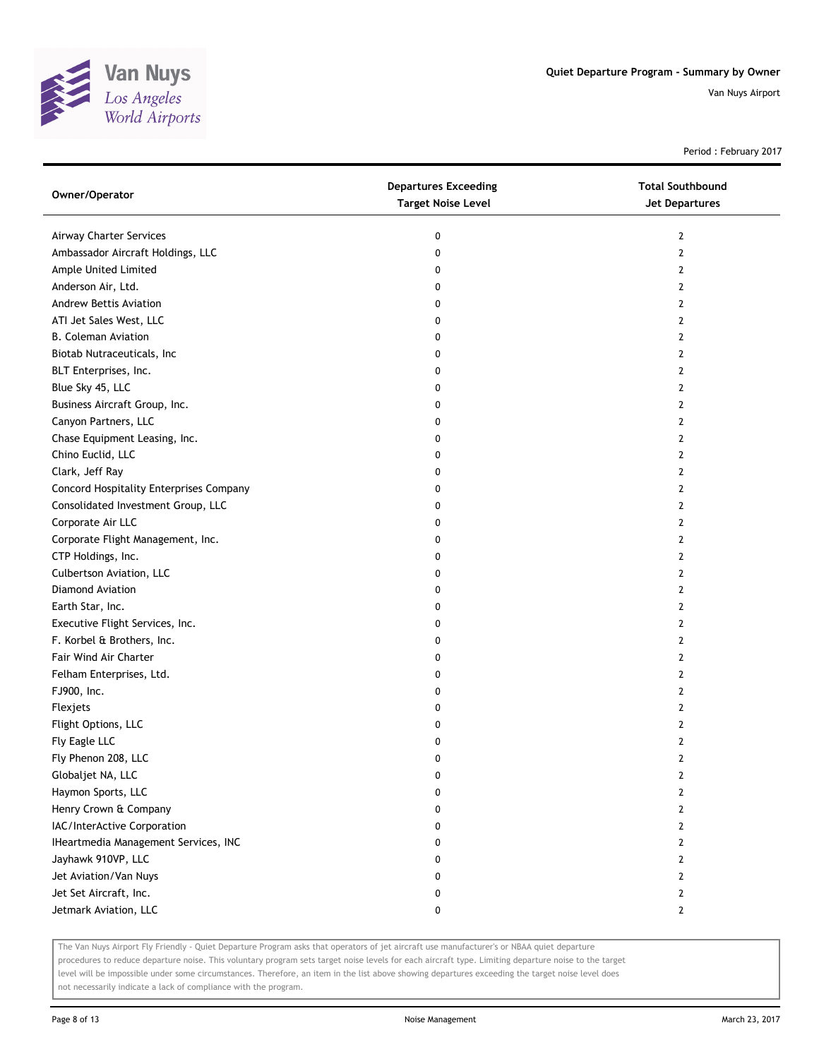

Period : February 2017

| Owner/Operator                          | <b>Departures Exceeding</b><br><b>Target Noise Level</b> | <b>Total Southbound</b><br><b>Jet Departures</b> |
|-----------------------------------------|----------------------------------------------------------|--------------------------------------------------|
| Airway Charter Services                 | 0                                                        | $\mathbf{2}$                                     |
| Ambassador Aircraft Holdings, LLC       | 0                                                        | 2                                                |
| Ample United Limited                    | 0                                                        | 2                                                |
| Anderson Air, Ltd.                      | 0                                                        | 2                                                |
| <b>Andrew Bettis Aviation</b>           | 0                                                        | 2                                                |
| ATI Jet Sales West, LLC                 | 0                                                        | 2                                                |
| <b>B. Coleman Aviation</b>              | 0                                                        | 2                                                |
| Biotab Nutraceuticals, Inc              | 0                                                        | 2                                                |
| BLT Enterprises, Inc.                   | 0                                                        | 2                                                |
| Blue Sky 45, LLC                        | 0                                                        | 2                                                |
| Business Aircraft Group, Inc.           | 0                                                        | 2                                                |
| Canyon Partners, LLC                    | 0                                                        | 2                                                |
| Chase Equipment Leasing, Inc.           | 0                                                        | 2                                                |
| Chino Euclid, LLC                       | 0                                                        | 2                                                |
| Clark, Jeff Ray                         | 0                                                        | 2                                                |
| Concord Hospitality Enterprises Company | 0                                                        | 2                                                |
| Consolidated Investment Group, LLC      | 0                                                        | $\mathbf{2}$                                     |
| Corporate Air LLC                       | 0                                                        | 2                                                |
| Corporate Flight Management, Inc.       | 0                                                        | 2                                                |
| CTP Holdings, Inc.                      | 0                                                        | 2                                                |
| Culbertson Aviation, LLC                | 0                                                        | 2                                                |
| Diamond Aviation                        | 0                                                        | 2                                                |
| Earth Star, Inc.                        | 0                                                        | 2                                                |
| Executive Flight Services, Inc.         | 0                                                        | 2                                                |
| F. Korbel & Brothers, Inc.              | 0                                                        | 2                                                |
| Fair Wind Air Charter                   | 0                                                        | 2                                                |
| Felham Enterprises, Ltd.                | 0                                                        | $\mathbf{2}$                                     |
| FJ900, Inc.                             | 0                                                        | 2                                                |
| Flexjets                                | 0                                                        | 2                                                |
| Flight Options, LLC                     | 0                                                        | 2                                                |
| Fly Eagle LLC                           | 0                                                        | 2                                                |
| Fly Phenon 208, LLC                     | 0                                                        | 2                                                |
| Globaljet NA, LLC                       | 0                                                        | 2                                                |
| Haymon Sports, LLC                      | 0                                                        | 2                                                |
| Henry Crown & Company                   | 0                                                        | $\mathbf{2}$                                     |
| IAC/InterActive Corporation             | 0                                                        | $\mathbf{2}$                                     |
| IHeartmedia Management Services, INC    | 0                                                        | $\mathbf{2}$                                     |
| Jayhawk 910VP, LLC                      | 0                                                        | 2                                                |
| Jet Aviation/Van Nuys                   | 0                                                        | 2                                                |
| Jet Set Aircraft, Inc.                  | 0                                                        | 2                                                |
| Jetmark Aviation, LLC                   | 0                                                        | $\mathbf{2}$                                     |

The Van Nuys Airport Fly Friendly - Quiet Departure Program asks that operators of jet aircraft use manufacturer's or NBAA quiet departure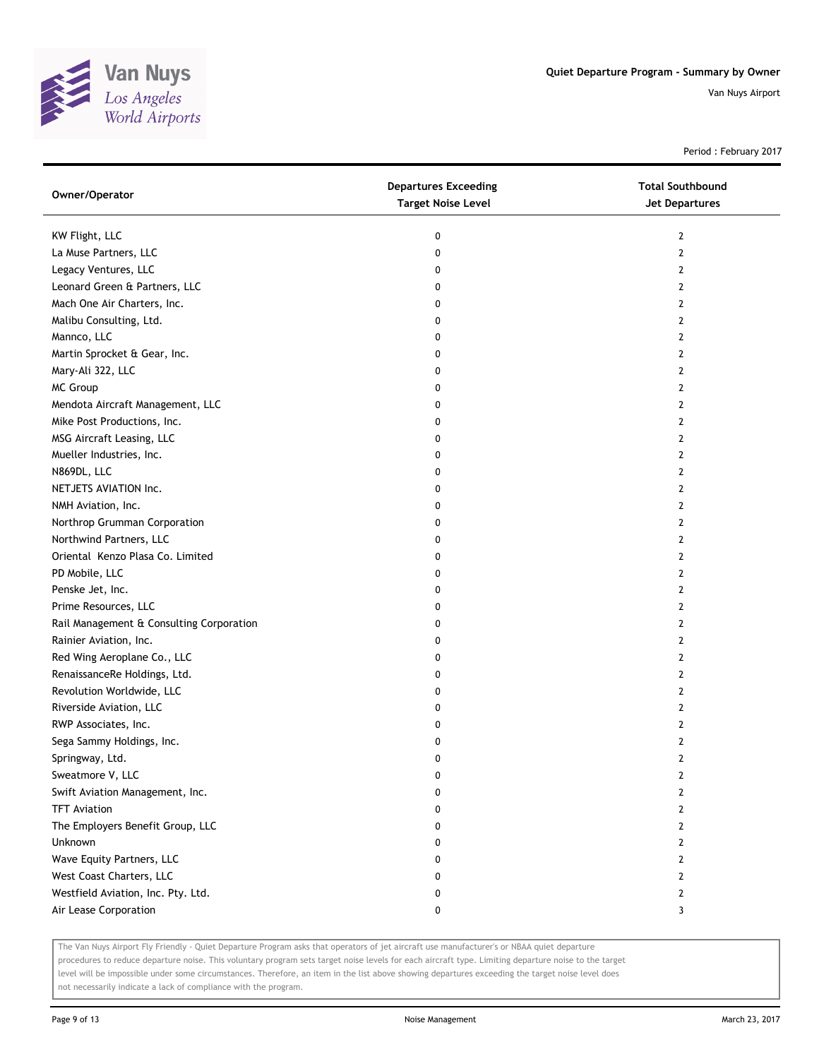

Period : February 2017

| Owner/Operator                           | <b>Departures Exceeding</b><br><b>Target Noise Level</b> | <b>Total Southbound</b><br>Jet Departures |
|------------------------------------------|----------------------------------------------------------|-------------------------------------------|
| KW Flight, LLC                           | 0                                                        | $\overline{2}$                            |
| La Muse Partners, LLC                    | 0                                                        | $\mathbf{2}$                              |
| Legacy Ventures, LLC                     | 0                                                        | $\overline{2}$                            |
| Leonard Green & Partners, LLC            | 0                                                        | $\overline{2}$                            |
| Mach One Air Charters, Inc.              | 0                                                        | 2                                         |
| Malibu Consulting, Ltd.                  | 0                                                        | $\overline{2}$                            |
| Mannco, LLC                              | 0                                                        | $\mathbf{2}$                              |
| Martin Sprocket & Gear, Inc.             | 0                                                        | 2                                         |
| Mary-Ali 322, LLC                        | 0                                                        | $\overline{2}$                            |
| MC Group                                 | 0                                                        | $\overline{2}$                            |
| Mendota Aircraft Management, LLC         | 0                                                        | $\overline{2}$                            |
| Mike Post Productions, Inc.              | 0                                                        | $\mathbf{2}$                              |
| MSG Aircraft Leasing, LLC                | 0                                                        | $\overline{2}$                            |
| Mueller Industries, Inc.                 | 0                                                        | $\overline{2}$                            |
| N869DL, LLC                              | 0                                                        | 2                                         |
| NETJETS AVIATION Inc.                    | 0                                                        | $\mathbf{2}$                              |
| NMH Aviation, Inc.                       | 0                                                        | 2                                         |
| Northrop Grumman Corporation             | 0                                                        | 2                                         |
| Northwind Partners, LLC                  | 0                                                        | 2                                         |
| Oriental Kenzo Plasa Co. Limited         | 0                                                        | 2                                         |
| PD Mobile, LLC                           | 0                                                        | 2                                         |
| Penske Jet, Inc.                         | 0                                                        | $\overline{2}$                            |
| Prime Resources, LLC                     | 0                                                        | $\overline{2}$                            |
| Rail Management & Consulting Corporation | 0                                                        | $\overline{2}$                            |
| Rainier Aviation, Inc.                   | 0                                                        | 2                                         |
| Red Wing Aeroplane Co., LLC              | 0                                                        | $\mathbf{2}$                              |
| RenaissanceRe Holdings, Ltd.             | 0                                                        | $\mathbf{2}$                              |
| Revolution Worldwide, LLC                | 0                                                        | 2                                         |
| Riverside Aviation, LLC                  | 0                                                        | $\overline{2}$                            |
| RWP Associates, Inc.                     | 0                                                        | $\overline{2}$                            |
| Sega Sammy Holdings, Inc.                | 0                                                        | $\mathbf{2}$                              |
| Springway, Ltd.                          | 0                                                        | $\mathbf{2}$                              |
| Sweatmore V, LLC                         | 0                                                        | 2                                         |
| Swift Aviation Management, Inc.          | 0                                                        | 2                                         |
| <b>TFT Aviation</b>                      | 0                                                        | $\overline{2}$                            |
| The Employers Benefit Group, LLC         | 0                                                        | $\mathbf{2}$                              |
| Unknown                                  | 0                                                        | $\mathbf{2}$                              |
| Wave Equity Partners, LLC                | 0                                                        | 2                                         |
| West Coast Charters, LLC                 | 0                                                        | $\mathbf{2}$                              |
| Westfield Aviation, Inc. Pty. Ltd.       | 0                                                        | $\mathbf{2}$                              |
| Air Lease Corporation                    | 0                                                        | 3                                         |

The Van Nuys Airport Fly Friendly - Quiet Departure Program asks that operators of jet aircraft use manufacturer's or NBAA quiet departure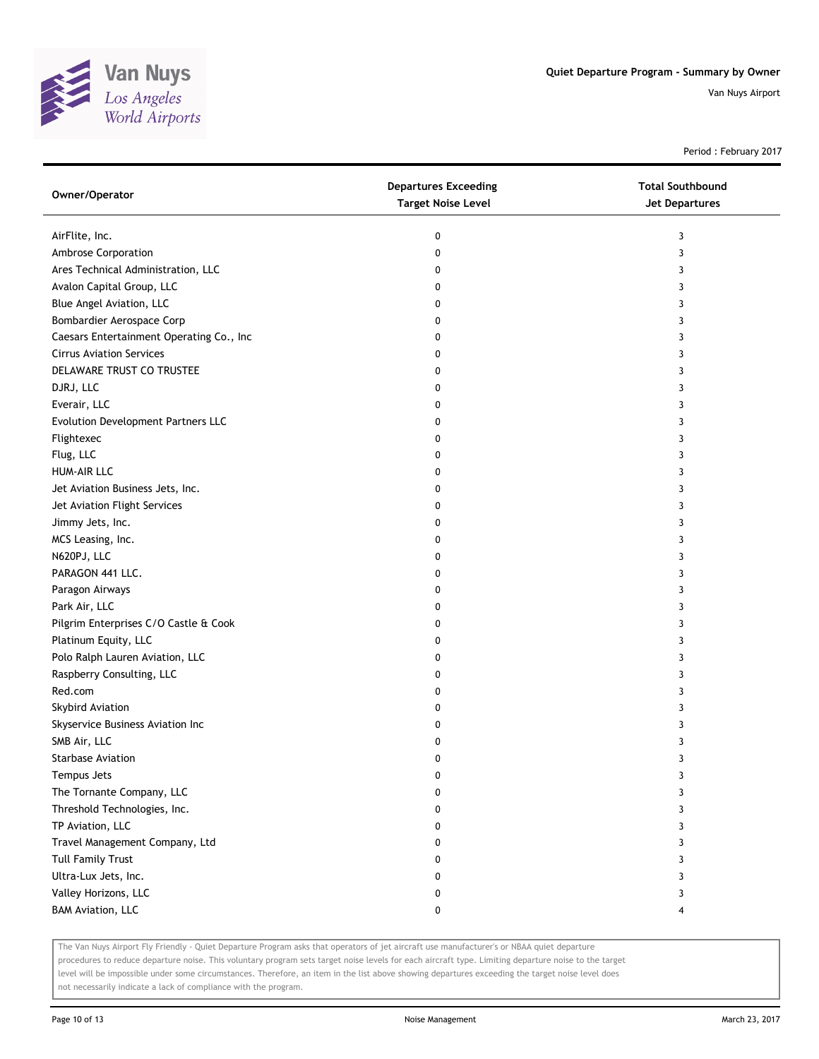

Period : February 2017

| Owner/Operator                           | <b>Departures Exceeding</b><br><b>Target Noise Level</b> | <b>Total Southbound</b><br><b>Jet Departures</b> |
|------------------------------------------|----------------------------------------------------------|--------------------------------------------------|
| AirFlite, Inc.                           | 0                                                        | 3                                                |
| Ambrose Corporation                      | 0                                                        | 3                                                |
| Ares Technical Administration, LLC       | 0                                                        | 3                                                |
| Avalon Capital Group, LLC                | 0                                                        | 3                                                |
| Blue Angel Aviation, LLC                 | 0                                                        | 3                                                |
| Bombardier Aerospace Corp                | 0                                                        | 3                                                |
| Caesars Entertainment Operating Co., Inc | 0                                                        | 3                                                |
| <b>Cirrus Aviation Services</b>          | 0                                                        | 3                                                |
| DELAWARE TRUST CO TRUSTEE                | 0                                                        | 3                                                |
| DJRJ, LLC                                | 0                                                        | 3                                                |
| Everair, LLC                             | 0                                                        | 3                                                |
| Evolution Development Partners LLC       | 0                                                        | 3                                                |
| Flightexec                               | 0                                                        | 3                                                |
| Flug, LLC                                | 0                                                        | 3                                                |
| <b>HUM-AIR LLC</b>                       | 0                                                        | 3                                                |
| Jet Aviation Business Jets, Inc.         | 0                                                        | 3                                                |
| Jet Aviation Flight Services             | 0                                                        | 3                                                |
| Jimmy Jets, Inc.                         | 0                                                        | 3                                                |
| MCS Leasing, Inc.                        | 0                                                        | 3                                                |
| N620PJ, LLC                              | 0                                                        | 3                                                |
| PARAGON 441 LLC.                         | 0                                                        | 3                                                |
| Paragon Airways                          | 0                                                        | 3                                                |
| Park Air, LLC                            | 0                                                        | 3                                                |
| Pilgrim Enterprises C/O Castle & Cook    | 0                                                        | 3                                                |
| Platinum Equity, LLC                     | 0                                                        | 3                                                |
| Polo Ralph Lauren Aviation, LLC          | 0                                                        | 3                                                |
| Raspberry Consulting, LLC                | 0                                                        | 3                                                |
| Red.com                                  | 0                                                        | 3                                                |
| Skybird Aviation                         | 0                                                        | 3                                                |
| Skyservice Business Aviation Inc         | 0                                                        | 3                                                |
| SMB Air, LLC                             | 0                                                        | 3                                                |
| <b>Starbase Aviation</b>                 | 0                                                        | 3                                                |
| Tempus Jets                              | 0                                                        | 3                                                |
| The Tornante Company, LLC                | 0                                                        | 3                                                |
| Threshold Technologies, Inc.             | 0                                                        | 3                                                |
| TP Aviation, LLC                         | 0                                                        | 3                                                |
| Travel Management Company, Ltd           | 0                                                        | 3                                                |
| <b>Tull Family Trust</b>                 | 0                                                        | 3                                                |
| Ultra-Lux Jets, Inc.                     | 0                                                        | 3                                                |
| Valley Horizons, LLC                     | 0                                                        | 3                                                |
| <b>BAM Aviation, LLC</b>                 | 0                                                        | 4                                                |

The Van Nuys Airport Fly Friendly - Quiet Departure Program asks that operators of jet aircraft use manufacturer's or NBAA quiet departure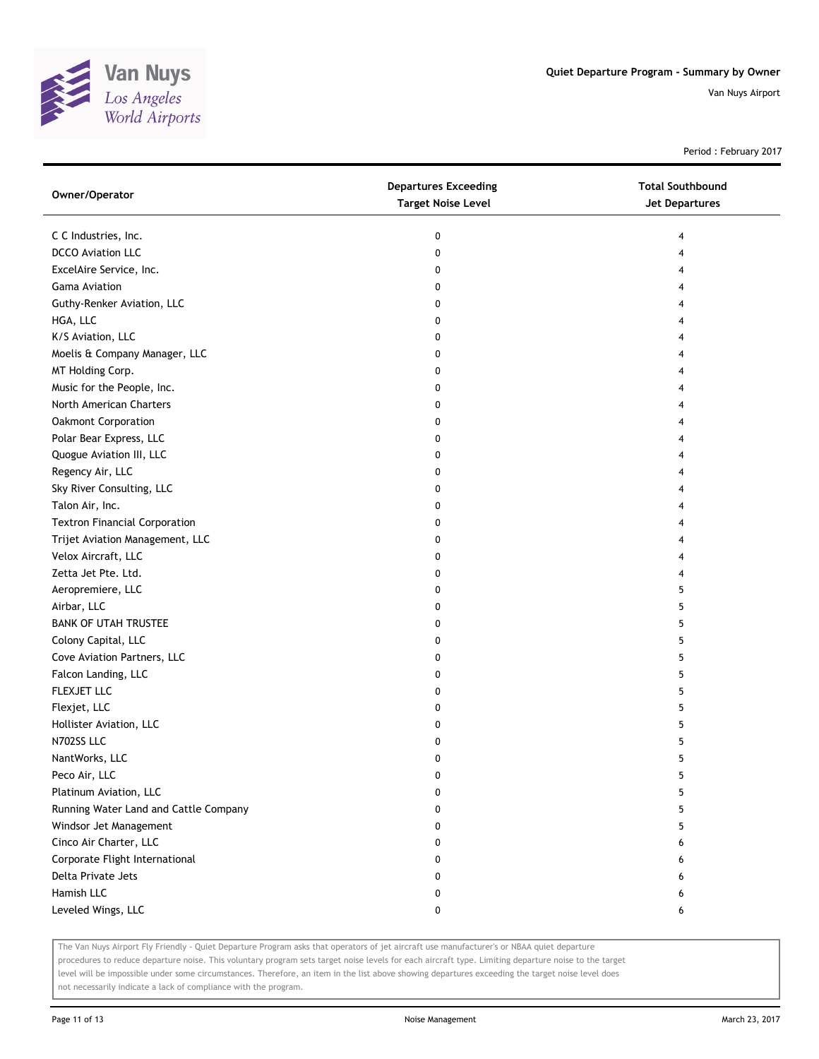

Period : February 2017

| Owner/Operator                        | <b>Departures Exceeding</b><br><b>Target Noise Level</b> | <b>Total Southbound</b><br>Jet Departures |
|---------------------------------------|----------------------------------------------------------|-------------------------------------------|
| C C Industries, Inc.                  | 0                                                        | 4                                         |
| <b>DCCO Aviation LLC</b>              | 0                                                        | 4                                         |
| ExcelAire Service, Inc.               | 0                                                        |                                           |
| <b>Gama Aviation</b>                  | 0                                                        |                                           |
| Guthy-Renker Aviation, LLC            | 0                                                        |                                           |
| HGA, LLC                              | 0                                                        |                                           |
| K/S Aviation, LLC                     | 0                                                        | 4                                         |
| Moelis & Company Manager, LLC         | 0                                                        |                                           |
| MT Holding Corp.                      | 0                                                        |                                           |
| Music for the People, Inc.            | 0                                                        |                                           |
| North American Charters               | 0                                                        |                                           |
| Oakmont Corporation                   | 0                                                        |                                           |
| Polar Bear Express, LLC               | 0                                                        |                                           |
| Quogue Aviation III, LLC              | 0                                                        |                                           |
| Regency Air, LLC                      | 0                                                        |                                           |
| Sky River Consulting, LLC             | 0                                                        |                                           |
| Talon Air, Inc.                       | 0                                                        | 4                                         |
| <b>Textron Financial Corporation</b>  | 0                                                        | 4                                         |
| Trijet Aviation Management, LLC       | 0                                                        | 4                                         |
| Velox Aircraft, LLC                   | 0                                                        |                                           |
| Zetta Jet Pte. Ltd.                   | 0                                                        |                                           |
| Aeropremiere, LLC                     | 0                                                        | 5                                         |
| Airbar, LLC                           | 0                                                        | 5                                         |
| <b>BANK OF UTAH TRUSTEE</b>           | 0                                                        | 5                                         |
| Colony Capital, LLC                   | 0                                                        | 5                                         |
| Cove Aviation Partners, LLC           | 0                                                        | 5                                         |
| Falcon Landing, LLC                   | 0                                                        | 5                                         |
| FLEXJET LLC                           | 0                                                        | 5                                         |
| Flexjet, LLC                          | 0                                                        | 5                                         |
| Hollister Aviation, LLC               | 0                                                        | 5                                         |
| N702SS LLC                            | 0                                                        | 5                                         |
| NantWorks, LLC                        | 0                                                        | 5                                         |
| Peco Air, LLC                         | 0                                                        | 5                                         |
| Platinum Aviation, LLC                | 0                                                        | 5                                         |
| Running Water Land and Cattle Company | 0                                                        | 5                                         |
| Windsor Jet Management                | 0                                                        | 5                                         |
| Cinco Air Charter, LLC                | 0                                                        | 6                                         |
| Corporate Flight International        | 0                                                        | 6                                         |
| Delta Private Jets                    | 0                                                        | 6                                         |
| Hamish LLC                            | 0                                                        | 6                                         |
| Leveled Wings, LLC                    | 0                                                        | 6                                         |

The Van Nuys Airport Fly Friendly - Quiet Departure Program asks that operators of jet aircraft use manufacturer's or NBAA quiet departure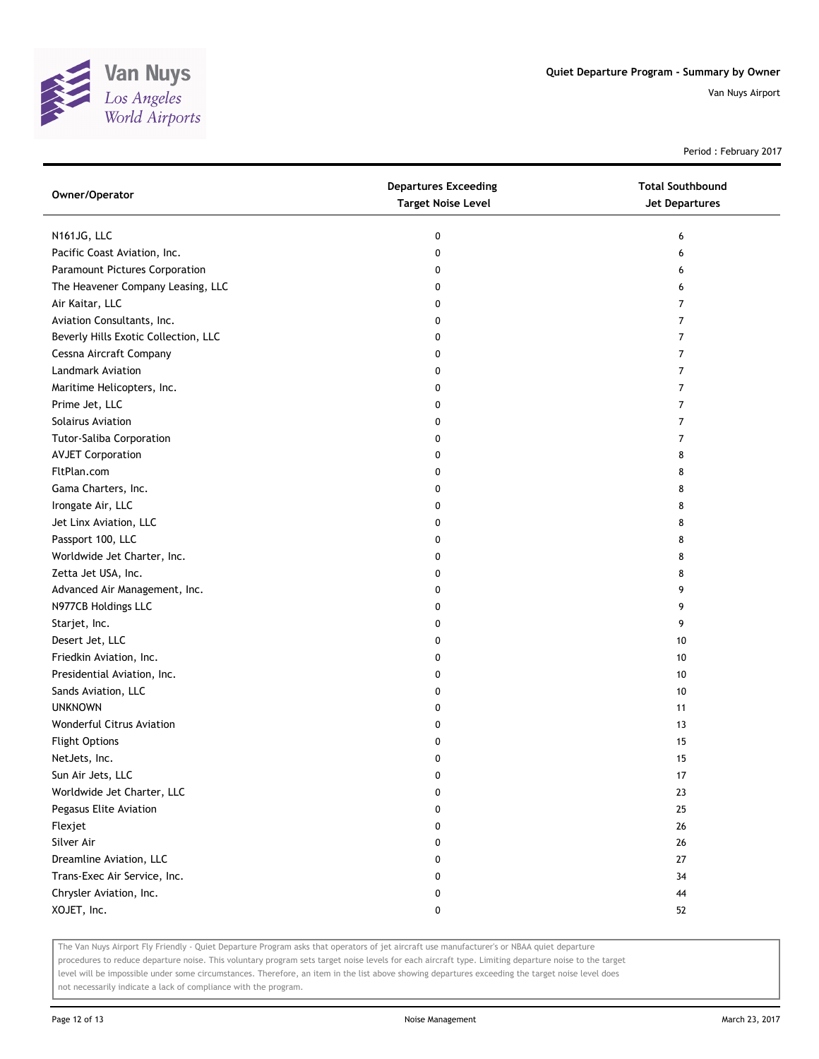

Period : February 2017

| Owner/Operator                       | <b>Departures Exceeding</b><br><b>Target Noise Level</b> | <b>Total Southbound</b><br><b>Jet Departures</b> |
|--------------------------------------|----------------------------------------------------------|--------------------------------------------------|
| N161JG, LLC                          | 0                                                        | 6                                                |
| Pacific Coast Aviation, Inc.         | 0                                                        | 6                                                |
| Paramount Pictures Corporation       | 0                                                        | 6                                                |
| The Heavener Company Leasing, LLC    | 0                                                        | 6                                                |
| Air Kaitar, LLC                      | 0                                                        | 7                                                |
| Aviation Consultants, Inc.           | 0                                                        | 7                                                |
| Beverly Hills Exotic Collection, LLC | 0                                                        | 7                                                |
| Cessna Aircraft Company              | 0                                                        | 7                                                |
| Landmark Aviation                    | 0                                                        | 7                                                |
| Maritime Helicopters, Inc.           | 0                                                        | 7                                                |
| Prime Jet, LLC                       | 0                                                        | 7                                                |
| Solairus Aviation                    | 0                                                        | 7                                                |
| <b>Tutor-Saliba Corporation</b>      | 0                                                        | 7                                                |
| <b>AVJET Corporation</b>             | 0                                                        | 8                                                |
| FltPlan.com                          | 0                                                        | 8                                                |
| Gama Charters, Inc.                  | 0                                                        | 8                                                |
| Irongate Air, LLC                    | 0                                                        | 8                                                |
| Jet Linx Aviation, LLC               | 0                                                        | 8                                                |
| Passport 100, LLC                    | 0                                                        | 8                                                |
| Worldwide Jet Charter, Inc.          | 0                                                        | 8                                                |
| Zetta Jet USA, Inc.                  | 0                                                        | 8                                                |
| Advanced Air Management, Inc.        | 0                                                        | 9                                                |
| N977CB Holdings LLC                  | 0                                                        | 9                                                |
| Starjet, Inc.                        | 0                                                        | 9                                                |
| Desert Jet, LLC                      | 0                                                        | 10                                               |
| Friedkin Aviation, Inc.              | 0                                                        | 10                                               |
| Presidential Aviation, Inc.          | 0                                                        | 10                                               |
| Sands Aviation, LLC                  | 0                                                        | 10                                               |
| <b>UNKNOWN</b>                       | 0                                                        | 11                                               |
| Wonderful Citrus Aviation            | 0                                                        | 13                                               |
| <b>Flight Options</b>                | 0                                                        | 15                                               |
| NetJets, Inc.                        | 0                                                        | 15                                               |
| Sun Air Jets, LLC                    | U                                                        | $\frac{1}{2}$                                    |
| Worldwide Jet Charter, LLC           | 0                                                        | 23                                               |
| Pegasus Elite Aviation               | 0                                                        | 25                                               |
| Flexjet                              | 0                                                        | 26                                               |
| Silver Air                           | 0                                                        | 26                                               |
| Dreamline Aviation, LLC              | 0                                                        | 27                                               |
| Trans-Exec Air Service, Inc.         | 0                                                        | 34                                               |
| Chrysler Aviation, Inc.              | 0                                                        | 44                                               |
| XOJET, Inc.                          | 0                                                        | 52                                               |

The Van Nuys Airport Fly Friendly - Quiet Departure Program asks that operators of jet aircraft use manufacturer's or NBAA quiet departure